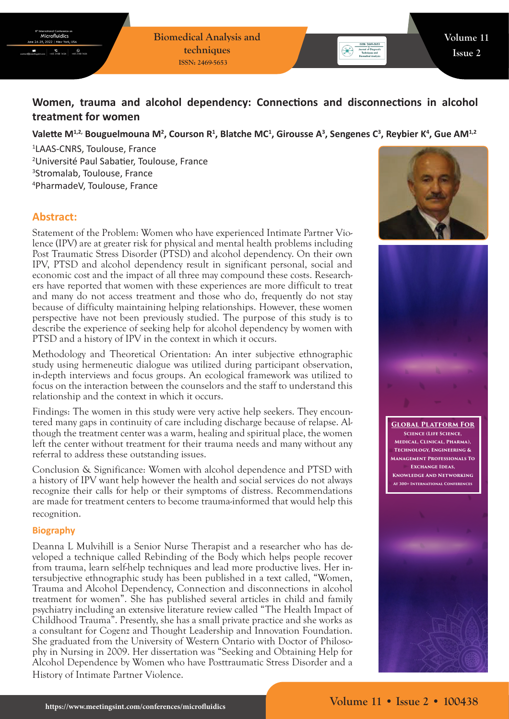**Biomedical Analysis and techniques ISSN: 2469-5653**



# **Women, trauma and alcohol dependency: Connections and disconnections in alcohol treatment for women**

## Valette M<sup>1,2,</sup> Bouguelmouna M<sup>2</sup>, Courson R<sup>1</sup>, Blatche MC<sup>1</sup>, Girousse A<sup>3</sup>, Sengenes C<sup>3</sup>, Reybier K<sup>4</sup>, Gue AM<sup>1,2</sup>

 LAAS-CNRS, Toulouse, France Université Paul Sabatier, Toulouse, France Stromalab, Toulouse, France PharmadeV, Toulouse, France

## **Abstract:**

Statement of the Problem: Women who have experienced Intimate Partner Violence (IPV) are at greater risk for physical and mental health problems including Post Traumatic Stress Disorder (PTSD) and alcohol dependency. On their own IPV, PTSD and alcohol dependency result in significant personal, social and economic cost and the impact of all three may compound these costs. Researchers have reported that women with these experiences are more difficult to treat and many do not access treatment and those who do, frequently do not stay because of difficulty maintaining helping relationships. However, these women perspective have not been previously studied. The purpose of this study is to describe the experience of seeking help for alcohol dependency by women with PTSD and a history of IPV in the context in which it occurs.

Methodology and Theoretical Orientation: An inter subjective ethnographic study using hermeneutic dialogue was utilized during participant observation, in-depth interviews and focus groups. An ecological framework was utilized to focus on the interaction between the counselors and the staff to understand this relationship and the context in which it occurs.

Findings: The women in this study were very active help seekers. They encountered many gaps in continuity of care including discharge because of relapse. Although the treatment center was a warm, healing and spiritual place, the women left the center without treatment for their trauma needs and many without any referral to address these outstanding issues.

Conclusion & Significance: Women with alcohol dependence and PTSD with a history of IPV want help however the health and social services do not always recognize their calls for help or their symptoms of distress. Recommendations are made for treatment centers to become trauma-informed that would help this recognition.

#### **Biography**

Deanna L Mulvihill is a Senior Nurse Therapist and a researcher who has developed a technique called Rebinding of the Body which helps people recover from trauma, learn self-help techniques and lead more productive lives. Her intersubjective ethnographic study has been published in a text called, "Women, Trauma and Alcohol Dependency, Connection and disconnections in alcohol treatment for women". She has published several articles in child and family psychiatry including an extensive literature review called "The Health Impact of Childhood Trauma". Presently, she has a small private practice and she works as a consultant for Cogenz and Thought Leadership and Innovation Foundation. She graduated from the University of Western Ontario with Doctor of Philosophy in Nursing in 2009. Her dissertation was "Seeking and Obtaining Help for Alcohol Dependence by Women who have Posttraumatic Stress Disorder and a History of Intimate Partner Violence.





**Global Platform For Science (Life Science, Medical, Clinical, Pharma), Technology, Engineering & Management Professionals To Exchange Ideas, Knowledge And Networking At 300+ International Conferences**